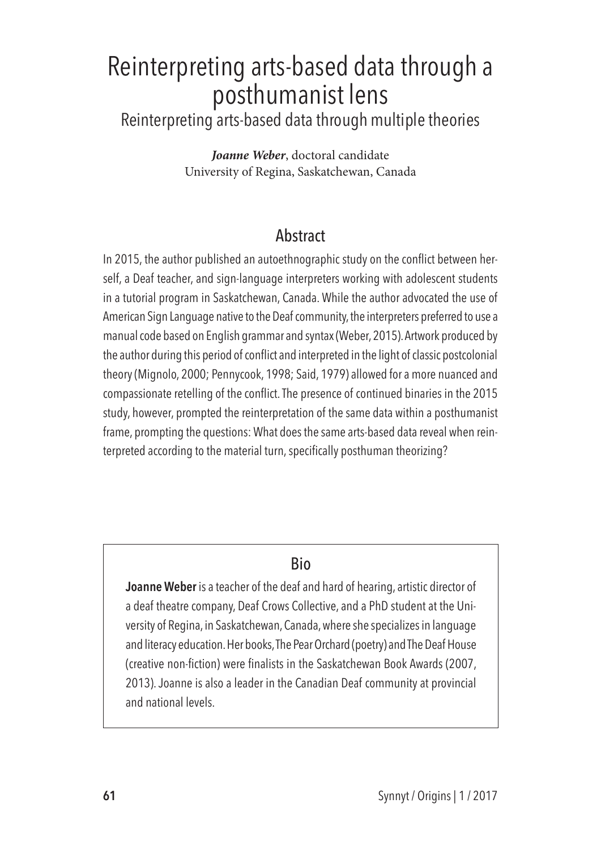# Reinterpreting arts-based data through a posthumanist lens

Reinterpreting arts-based data through multiple theories

*Joanne Weber*, doctoral candidate University of Regina, Saskatchewan, Canada

## **Abstract**

In 2015, the author published an autoethnographic study on the conflict between herself, a Deaf teacher, and sign-language interpreters working with adolescent students in a tutorial program in Saskatchewan, Canada. While the author advocated the use of American Sign Language native to the Deaf community, the interpreters preferred to use a manual code based on English grammar and syntax (Weber, 2015). Artwork produced by the author during this period of conflict and interpreted in the light of classic postcolonial theory (Mignolo, 2000; Pennycook, 1998; Said, 1979) allowed for a more nuanced and compassionate retelling of the conflict. The presence of continued binaries in the 2015 study, however, prompted the reinterpretation of the same data within a posthumanist frame, prompting the questions: What does the same arts-based data reveal when reinterpreted according to the material turn, specifically posthuman theorizing?

## Bio

**Joanne Weber** is a teacher of the deaf and hard of hearing, artistic director of a deaf theatre company, Deaf Crows Collective, and a PhD student at the University of Regina, in Saskatchewan, Canada, where she specializes in language and literacy education. Her books, The Pear Orchard (poetry) and The Deaf House (creative non-fiction) were finalists in the Saskatchewan Book Awards (2007, 2013). Joanne is also a leader in the Canadian Deaf community at provincial and national levels.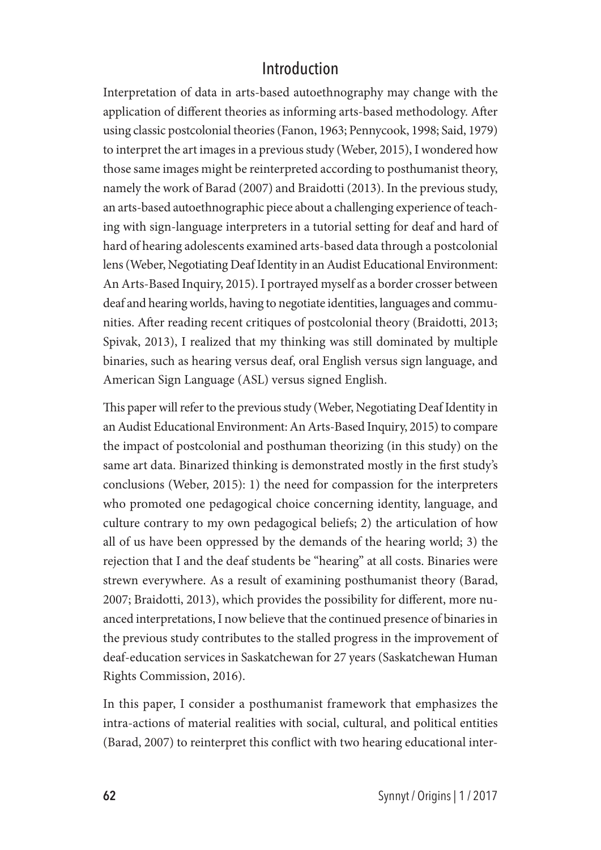#### Introduction

Interpretation of data in arts-based autoethnography may change with the application of different theories as informing arts-based methodology. After using classic postcolonial theories (Fanon, 1963; Pennycook, 1998; Said, 1979) to interpret the art images in a previous study (Weber, 2015), I wondered how those same images might be reinterpreted according to posthumanist theory, namely the work of Barad (2007) and Braidotti (2013). In the previous study, an arts-based autoethnographic piece about a challenging experience of teaching with sign-language interpreters in a tutorial setting for deaf and hard of hard of hearing adolescents examined arts-based data through a postcolonial lens (Weber, Negotiating Deaf Identity in an Audist Educational Environment: An Arts-Based Inquiry, 2015). I portrayed myself as a border crosser between deaf and hearing worlds, having to negotiate identities, languages and communities. After reading recent critiques of postcolonial theory (Braidotti, 2013; Spivak, 2013), I realized that my thinking was still dominated by multiple binaries, such as hearing versus deaf, oral English versus sign language, and American Sign Language (ASL) versus signed English.

This paper will refer to the previous study (Weber, Negotiating Deaf Identity in an Audist Educational Environment: An Arts-Based Inquiry, 2015) to compare the impact of postcolonial and posthuman theorizing (in this study) on the same art data. Binarized thinking is demonstrated mostly in the first study's conclusions (Weber, 2015): 1) the need for compassion for the interpreters who promoted one pedagogical choice concerning identity, language, and culture contrary to my own pedagogical beliefs; 2) the articulation of how all of us have been oppressed by the demands of the hearing world; 3) the rejection that I and the deaf students be "hearing" at all costs. Binaries were strewn everywhere. As a result of examining posthumanist theory (Barad, 2007; Braidotti, 2013), which provides the possibility for different, more nuanced interpretations, I now believe that the continued presence of binaries in the previous study contributes to the stalled progress in the improvement of deaf-education services in Saskatchewan for 27 years (Saskatchewan Human Rights Commission, 2016).

In this paper, I consider a posthumanist framework that emphasizes the intra-actions of material realities with social, cultural, and political entities (Barad, 2007) to reinterpret this conflict with two hearing educational inter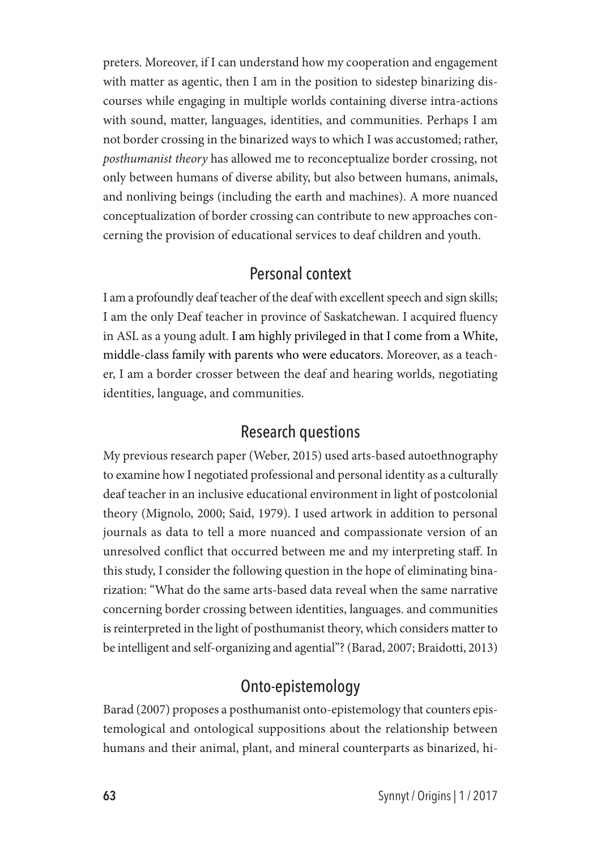preters. Moreover, if I can understand how my cooperation and engagement with matter as agentic, then I am in the position to sidestep binarizing discourses while engaging in multiple worlds containing diverse intra-actions with sound, matter, languages, identities, and communities. Perhaps I am not border crossing in the binarized ways to which I was accustomed; rather, *posthumanist theory* has allowed me to reconceptualize border crossing, not only between humans of diverse ability, but also between humans, animals, and nonliving beings (including the earth and machines). A more nuanced conceptualization of border crossing can contribute to new approaches concerning the provision of educational services to deaf children and youth.

#### Personal context

I am a profoundly deaf teacher of the deaf with excellent speech and sign skills; I am the only Deaf teacher in province of Saskatchewan. I acquired fluency in ASL as a young adult. I am highly privileged in that I come from a White, middle-class family with parents who were educators. Moreover, as a teacher, I am a border crosser between the deaf and hearing worlds, negotiating identities, language, and communities.

#### Research questions

My previous research paper (Weber, 2015) used arts-based autoethnography to examine how I negotiated professional and personal identity as a culturally deaf teacher in an inclusive educational environment in light of postcolonial theory (Mignolo, 2000; Said, 1979). I used artwork in addition to personal journals as data to tell a more nuanced and compassionate version of an unresolved conflict that occurred between me and my interpreting staff. In this study, I consider the following question in the hope of eliminating binarization: "What do the same arts-based data reveal when the same narrative concerning border crossing between identities, languages. and communities is reinterpreted in the light of posthumanist theory, which considers matter to be intelligent and self-organizing and agential"? (Barad, 2007; Braidotti, 2013)

## Onto-epistemology

Barad (2007) proposes a posthumanist onto-epistemology that counters epistemological and ontological suppositions about the relationship between humans and their animal, plant, and mineral counterparts as binarized, hi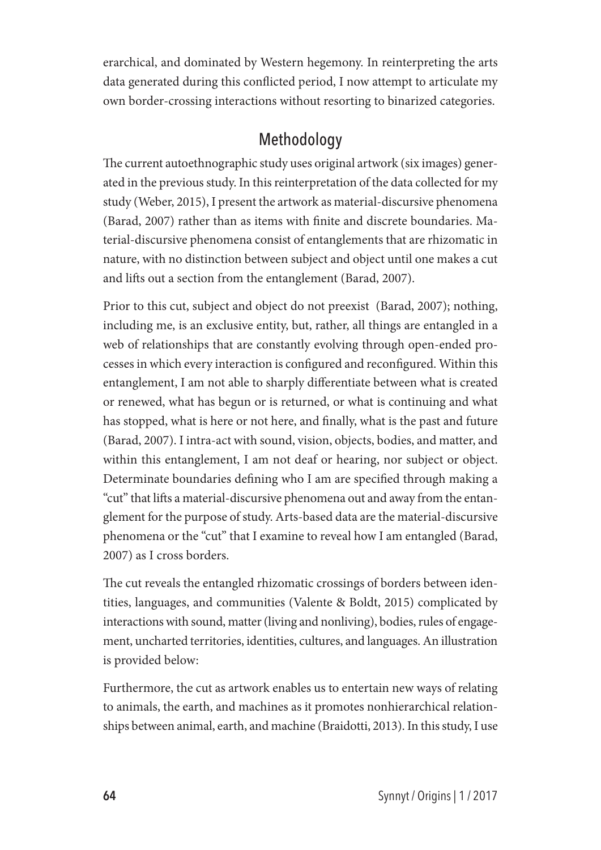erarchical, and dominated by Western hegemony. In reinterpreting the arts data generated during this conflicted period, I now attempt to articulate my own border-crossing interactions without resorting to binarized categories.

## Methodology

The current autoethnographic study uses original artwork (six images) generated in the previous study. In this reinterpretation of the data collected for my study (Weber, 2015), I present the artwork as material-discursive phenomena (Barad, 2007) rather than as items with finite and discrete boundaries. Material-discursive phenomena consist of entanglements that are rhizomatic in nature, with no distinction between subject and object until one makes a cut and lifts out a section from the entanglement (Barad, 2007).

Prior to this cut, subject and object do not preexist (Barad, 2007); nothing, including me, is an exclusive entity, but, rather, all things are entangled in a web of relationships that are constantly evolving through open-ended processes in which every interaction is configured and reconfigured. Within this entanglement, I am not able to sharply differentiate between what is created or renewed, what has begun or is returned, or what is continuing and what has stopped, what is here or not here, and finally, what is the past and future (Barad, 2007). I intra-act with sound, vision, objects, bodies, and matter, and within this entanglement, I am not deaf or hearing, nor subject or object. Determinate boundaries defining who I am are specified through making a "cut" that lifts a material-discursive phenomena out and away from the entanglement for the purpose of study. Arts-based data are the material-discursive phenomena or the "cut" that I examine to reveal how I am entangled (Barad, 2007) as I cross borders.

The cut reveals the entangled rhizomatic crossings of borders between identities, languages, and communities (Valente & Boldt, 2015) complicated by interactions with sound, matter (living and nonliving), bodies, rules of engagement, uncharted territories, identities, cultures, and languages. An illustration is provided below:

Furthermore, the cut as artwork enables us to entertain new ways of relating to animals, the earth, and machines as it promotes nonhierarchical relationships between animal, earth, and machine (Braidotti, 2013). In this study, I use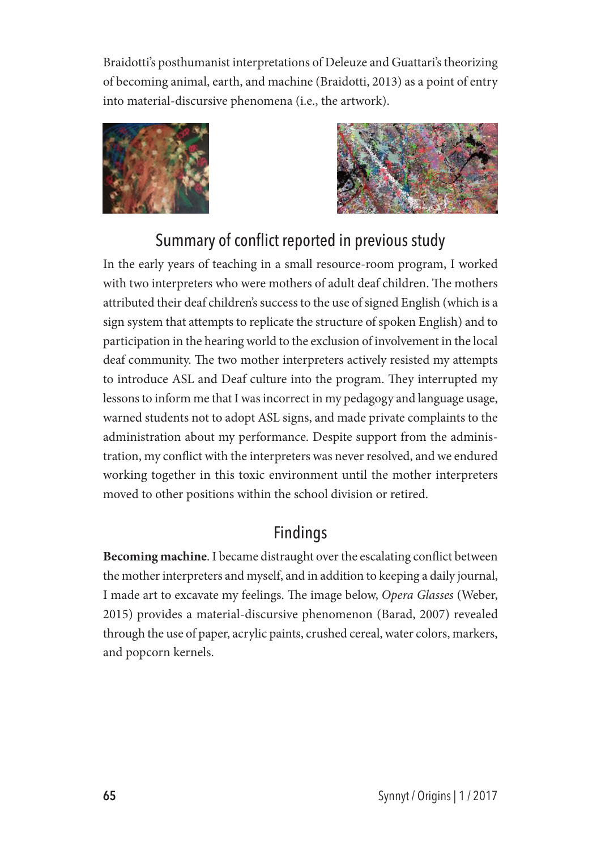Braidotti's posthumanist interpretations of Deleuze and Guattari's theorizing of becoming animal, earth, and machine (Braidotti, 2013) as a point of entry into material-discursive phenomena (i.e., the artwork).





## Summary of conflict reported in previous study

In the early years of teaching in a small resource-room program, I worked with two interpreters who were mothers of adult deaf children. The mothers attributed their deaf children's success to the use of signed English (which is a sign system that attempts to replicate the structure of spoken English) and to participation in the hearing world to the exclusion of involvement in the local deaf community. The two mother interpreters actively resisted my attempts to introduce ASL and Deaf culture into the program. They interrupted my lessons to inform me that I was incorrect in my pedagogy and language usage, warned students not to adopt ASL signs, and made private complaints to the administration about my performance. Despite support from the administration, my conflict with the interpreters was never resolved, and we endured working together in this toxic environment until the mother interpreters moved to other positions within the school division or retired.

## Findings

**Becoming machine**. I became distraught over the escalating conflict between the mother interpreters and myself, and in addition to keeping a daily journal, I made art to excavate my feelings. The image below, *Opera Glasses* (Weber, 2015) provides a material-discursive phenomenon (Barad, 2007) revealed through the use of paper, acrylic paints, crushed cereal, water colors, markers, and popcorn kernels.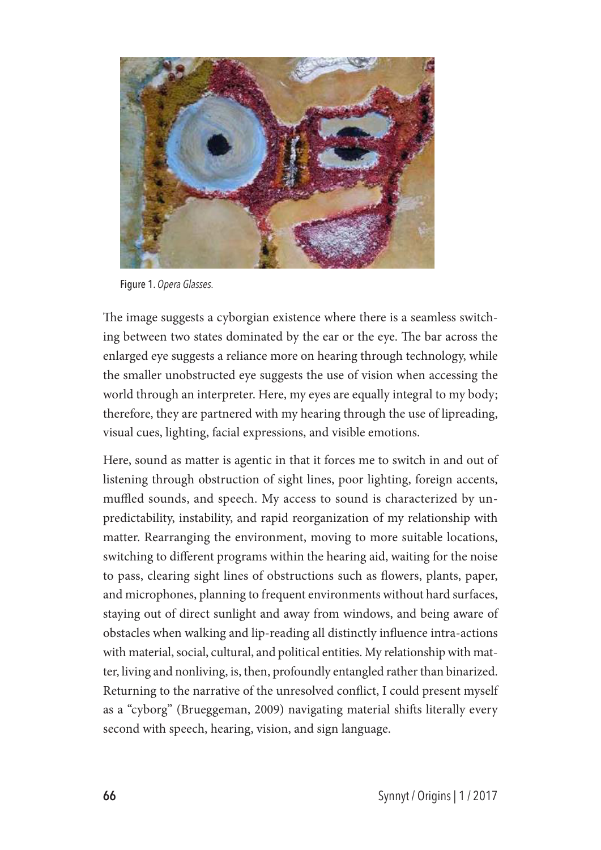

Figure 1. *Opera Glasses.*

The image suggests a cyborgian existence where there is a seamless switching between two states dominated by the ear or the eye. The bar across the enlarged eye suggests a reliance more on hearing through technology, while the smaller unobstructed eye suggests the use of vision when accessing the world through an interpreter. Here, my eyes are equally integral to my body; therefore, they are partnered with my hearing through the use of lipreading, visual cues, lighting, facial expressions, and visible emotions.

Here, sound as matter is agentic in that it forces me to switch in and out of listening through obstruction of sight lines, poor lighting, foreign accents, muffled sounds, and speech. My access to sound is characterized by unpredictability, instability, and rapid reorganization of my relationship with matter. Rearranging the environment, moving to more suitable locations, switching to different programs within the hearing aid, waiting for the noise to pass, clearing sight lines of obstructions such as flowers, plants, paper, and microphones, planning to frequent environments without hard surfaces, staying out of direct sunlight and away from windows, and being aware of obstacles when walking and lip-reading all distinctly influence intra-actions with material, social, cultural, and political entities. My relationship with matter, living and nonliving, is, then, profoundly entangled rather than binarized. Returning to the narrative of the unresolved conflict, I could present myself as a "cyborg" (Brueggeman, 2009) navigating material shifts literally every second with speech, hearing, vision, and sign language.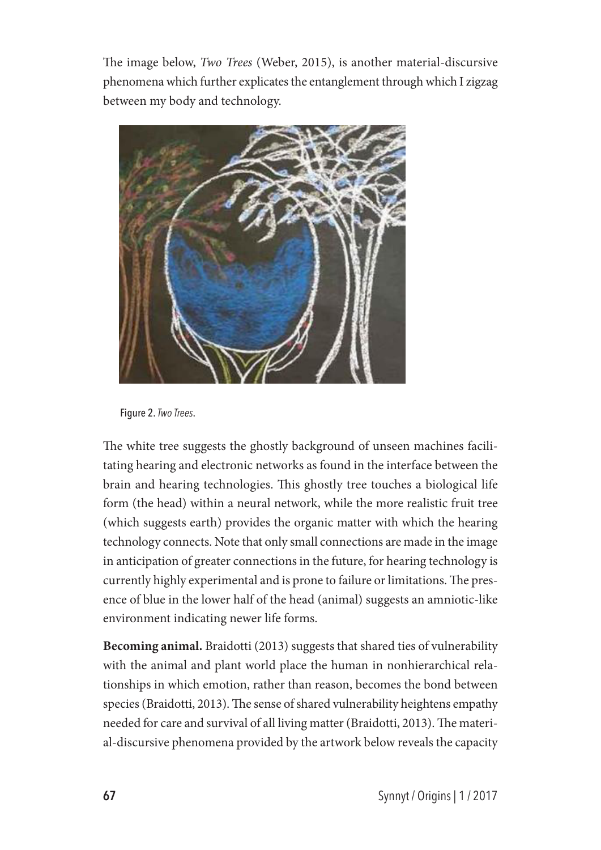The image below, *Two Trees* (Weber, 2015), is another material-discursive phenomena which further explicates the entanglement through which I zigzag between my body and technology.



Figure 2. *Two Trees*.

The white tree suggests the ghostly background of unseen machines facilitating hearing and electronic networks as found in the interface between the brain and hearing technologies. This ghostly tree touches a biological life form (the head) within a neural network, while the more realistic fruit tree (which suggests earth) provides the organic matter with which the hearing technology connects. Note that only small connections are made in the image in anticipation of greater connections in the future, for hearing technology is currently highly experimental and is prone to failure or limitations. The presence of blue in the lower half of the head (animal) suggests an amniotic-like environment indicating newer life forms.

**Becoming animal.** Braidotti (2013) suggests that shared ties of vulnerability with the animal and plant world place the human in nonhierarchical relationships in which emotion, rather than reason, becomes the bond between species (Braidotti, 2013). The sense of shared vulnerability heightens empathy needed for care and survival of all living matter (Braidotti, 2013). The material-discursive phenomena provided by the artwork below reveals the capacity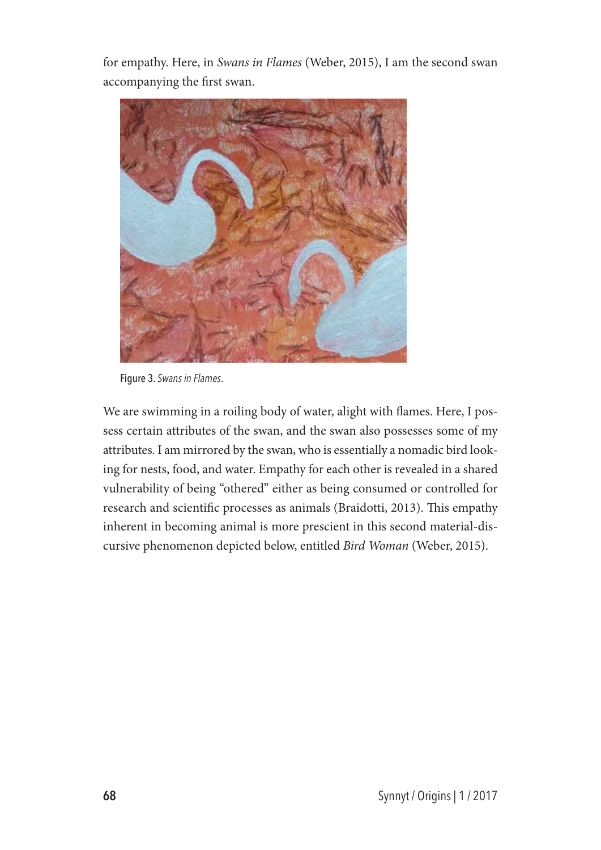for empathy. Here, in *Swans in Flames* (Weber, 2015), I am the second swan accompanying the first swan.



Figure 3. *Swans in Flames*.

We are swimming in a roiling body of water, alight with flames. Here, I possess certain attributes of the swan, and the swan also possesses some of my attributes. I am mirrored by the swan, who is essentially a nomadic bird looking for nests, food, and water. Empathy for each other is revealed in a shared vulnerability of being "othered" either as being consumed or controlled for research and scientific processes as animals (Braidotti, 2013). This empathy inherent in becoming animal is more prescient in this second material-discursive phenomenon depicted below, entitled *Bird Woman* (Weber, 2015).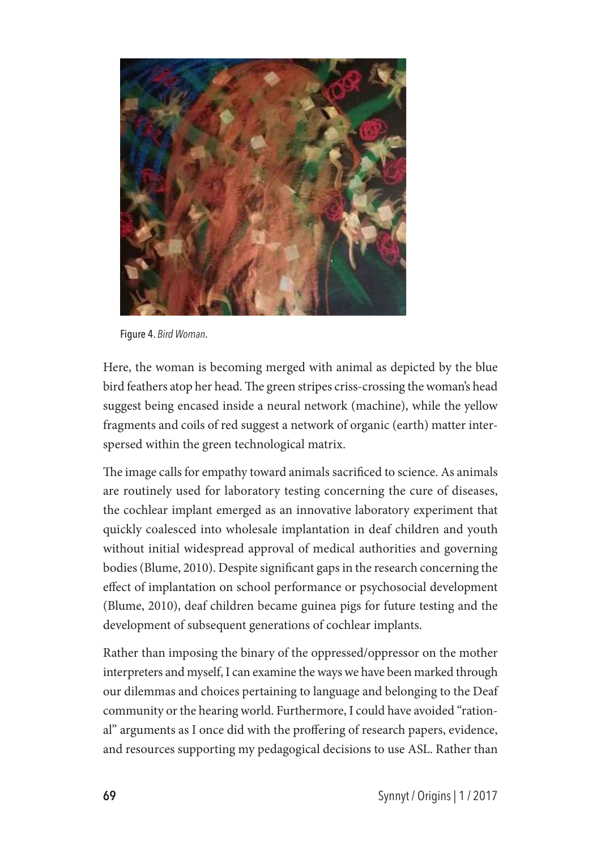

Figure 4. *Bird Woman*.

Here, the woman is becoming merged with animal as depicted by the blue bird feathers atop her head. The green stripes criss-crossing the woman's head suggest being encased inside a neural network (machine), while the yellow fragments and coils of red suggest a network of organic (earth) matter interspersed within the green technological matrix.

The image calls for empathy toward animals sacrificed to science. As animals are routinely used for laboratory testing concerning the cure of diseases, the cochlear implant emerged as an innovative laboratory experiment that quickly coalesced into wholesale implantation in deaf children and youth without initial widespread approval of medical authorities and governing bodies (Blume, 2010). Despite significant gaps in the research concerning the effect of implantation on school performance or psychosocial development (Blume, 2010), deaf children became guinea pigs for future testing and the development of subsequent generations of cochlear implants.

Rather than imposing the binary of the oppressed/oppressor on the mother interpreters and myself, I can examine the ways we have been marked through our dilemmas and choices pertaining to language and belonging to the Deaf community or the hearing world. Furthermore, I could have avoided "rational" arguments as I once did with the proffering of research papers, evidence, and resources supporting my pedagogical decisions to use ASL. Rather than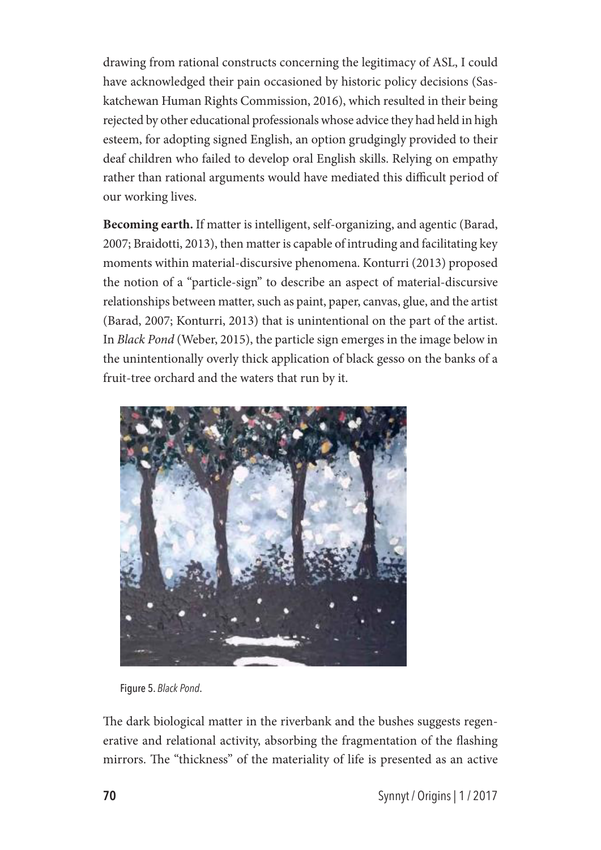drawing from rational constructs concerning the legitimacy of ASL, I could have acknowledged their pain occasioned by historic policy decisions (Saskatchewan Human Rights Commission, 2016), which resulted in their being rejected by other educational professionals whose advice they had held in high esteem, for adopting signed English, an option grudgingly provided to their deaf children who failed to develop oral English skills. Relying on empathy rather than rational arguments would have mediated this difficult period of our working lives.

**Becoming earth.** If matter is intelligent, self-organizing, and agentic (Barad, 2007; Braidotti, 2013), then matter is capable of intruding and facilitating key moments within material-discursive phenomena. Konturri (2013) proposed the notion of a "particle-sign" to describe an aspect of material-discursive relationships between matter, such as paint, paper, canvas, glue, and the artist (Barad, 2007; Konturri, 2013) that is unintentional on the part of the artist. In *Black Pond* (Weber, 2015), the particle sign emerges in the image below in the unintentionally overly thick application of black gesso on the banks of a fruit-tree orchard and the waters that run by it.



Figure 5. *Black Pond*.

The dark biological matter in the riverbank and the bushes suggests regenerative and relational activity, absorbing the fragmentation of the flashing mirrors. The "thickness" of the materiality of life is presented as an active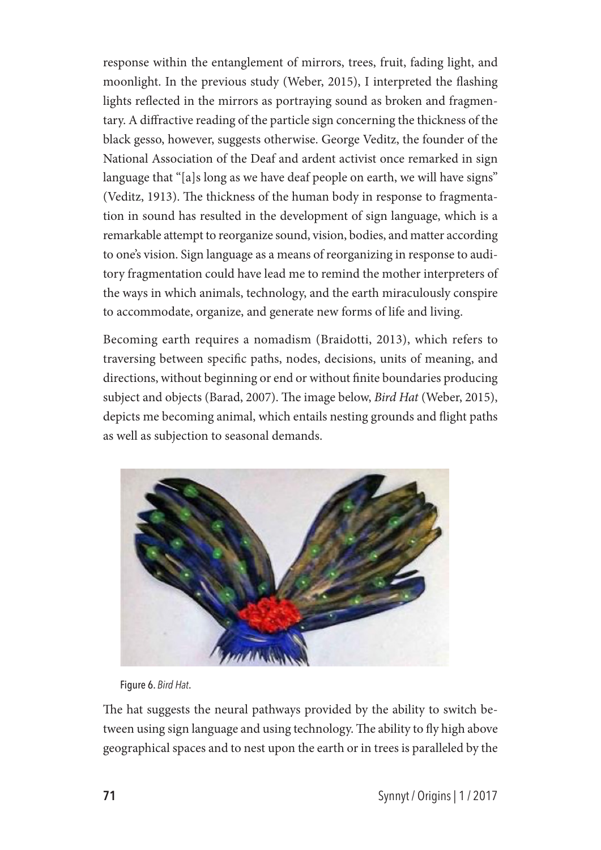response within the entanglement of mirrors, trees, fruit, fading light, and moonlight. In the previous study (Weber, 2015), I interpreted the flashing lights reflected in the mirrors as portraying sound as broken and fragmentary. A diffractive reading of the particle sign concerning the thickness of the black gesso, however, suggests otherwise. George Veditz, the founder of the National Association of the Deaf and ardent activist once remarked in sign language that "[a]s long as we have deaf people on earth, we will have signs" (Veditz, 1913). The thickness of the human body in response to fragmentation in sound has resulted in the development of sign language, which is a remarkable attempt to reorganize sound, vision, bodies, and matter according to one's vision. Sign language as a means of reorganizing in response to auditory fragmentation could have lead me to remind the mother interpreters of the ways in which animals, technology, and the earth miraculously conspire to accommodate, organize, and generate new forms of life and living.

Becoming earth requires a nomadism (Braidotti, 2013), which refers to traversing between specific paths, nodes, decisions, units of meaning, and directions, without beginning or end or without finite boundaries producing subject and objects (Barad, 2007). The image below, *Bird Hat* (Weber, 2015), depicts me becoming animal, which entails nesting grounds and flight paths as well as subjection to seasonal demands.



Figure 6. *Bird Hat*.

The hat suggests the neural pathways provided by the ability to switch between using sign language and using technology. The ability to fly high above geographical spaces and to nest upon the earth or in trees is paralleled by the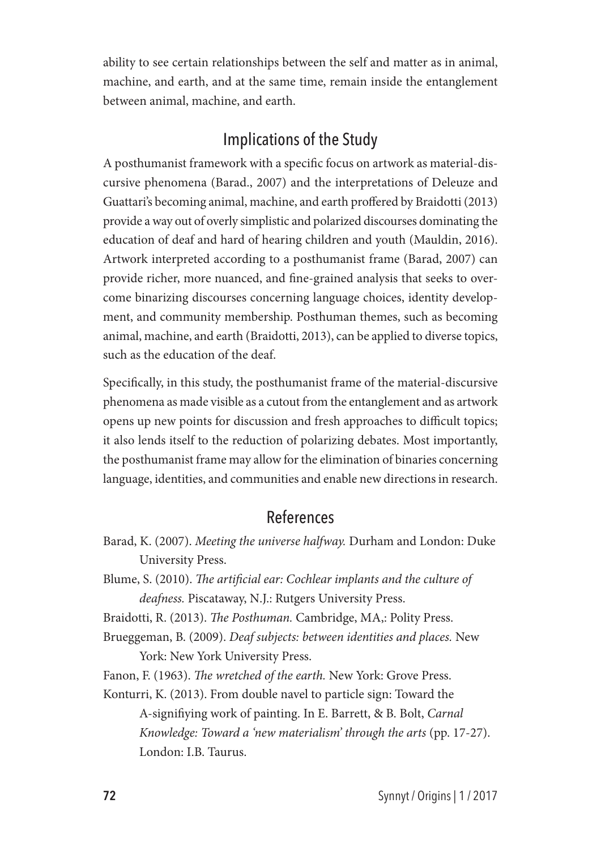ability to see certain relationships between the self and matter as in animal, machine, and earth, and at the same time, remain inside the entanglement between animal, machine, and earth.

#### Implications of the Study

A posthumanist framework with a specific focus on artwork as material-discursive phenomena (Barad., 2007) and the interpretations of Deleuze and Guattari's becoming animal, machine, and earth proffered by Braidotti (2013) provide a way out of overly simplistic and polarized discourses dominating the education of deaf and hard of hearing children and youth (Mauldin, 2016). Artwork interpreted according to a posthumanist frame (Barad, 2007) can provide richer, more nuanced, and fine-grained analysis that seeks to overcome binarizing discourses concerning language choices, identity development, and community membership. Posthuman themes, such as becoming animal, machine, and earth (Braidotti, 2013), can be applied to diverse topics, such as the education of the deaf.

Specifically, in this study, the posthumanist frame of the material-discursive phenomena as made visible as a cutout from the entanglement and as artwork opens up new points for discussion and fresh approaches to difficult topics; it also lends itself to the reduction of polarizing debates. Most importantly, the posthumanist frame may allow for the elimination of binaries concerning language, identities, and communities and enable new directions in research.

#### References

- Barad, K. (2007). *Meeting the universe halfway.* Durham and London: Duke University Press.
- Blume, S. (2010). *The artificial ear: Cochlear implants and the culture of deafness.* Piscataway, N.J.: Rutgers University Press.

Braidotti, R. (2013). *The Posthuman.* Cambridge, MA,: Polity Press.

Brueggeman, B. (2009). *Deaf subjects: between identities and places.* New York: New York University Press.

Fanon, F. (1963). *The wretched of the earth.* New York: Grove Press.

Konturri, K. (2013). From double navel to particle sign: Toward the A-signifiying work of painting. In E. Barrett, & B. Bolt, *Carnal Knowledge: Toward a 'new materialism' through the arts* (pp. 17-27). London: I.B. Taurus.